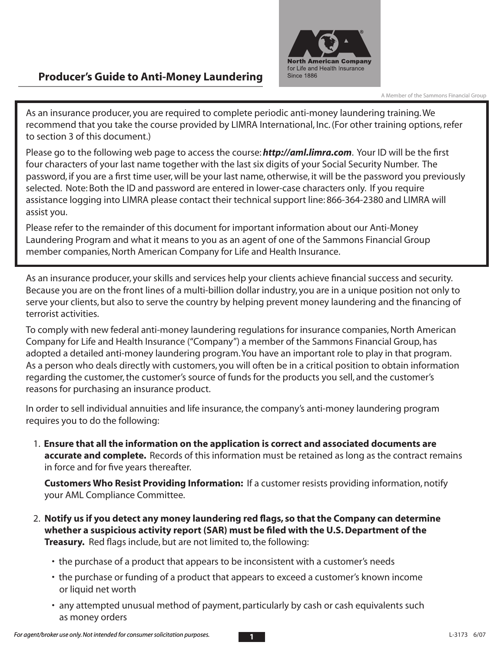

## **Producer's Guide to Anti-Money Laundering**

A Member of the Sammons Financial Group

As an insurance producer, you are required to complete periodic anti-money laundering training. We recommend that you take the course provided by LIMRA International, Inc. (For other training options, refer to section 3 of this document.)

Please go to the following web page to access the course: *http://aml.limra.com*. Your ID will be the first four characters of your last name together with the last six digits of your Social Security Number. The password, if you are a first time user, will be your last name, otherwise, it will be the password you previously selected. Note: Both the ID and password are entered in lower-case characters only. If you require assistance logging into LIMRA please contact their technical support line: 866-364-2380 and LIMRA will assist you.

Please refer to the remainder of this document for important information about our Anti-Money Laundering Program and what it means to you as an agent of one of the Sammons Financial Group member companies, North American Company for Life and Health Insurance.

As an insurance producer, your skills and services help your clients achieve financial success and security. Because you are on the front lines of a multi-billion dollar industry, you are in a unique position not only to serve your clients, but also to serve the country by helping prevent money laundering and the financing of terrorist activities.

To comply with new federal anti-money laundering regulations for insurance companies, North American Company for Life and Health Insurance ("Company") a member of the Sammons Financial Group, has adopted a detailed anti-money laundering program. You have an important role to play in that program. As a person who deals directly with customers, you will often be in a critical position to obtain information regarding the customer, the customer's source of funds for the products you sell, and the customer's reasons for purchasing an insurance product.

In order to sell individual annuities and life insurance, the company's anti-money laundering program requires you to do the following:

1. **Ensure that all the information on the application is correct and associated documents are accurate and complete.** Records of this information must be retained as long as the contract remains in force and for five years thereafter.

**Customers Who Resist Providing Information:** If a customer resists providing information, notify your AML Compliance Committee.

- 2. **Notify us if you detect any money laundering red flags, so that the Company can determine whether a suspicious activity report (SAR) must be filed with the U.S. Department of the Treasury.** Red flags include, but are not limited to, the following:
	- the purchase of a product that appears to be inconsistent with a customer's needs
	- the purchase or funding of a product that appears to exceed a customer's known income or liquid net worth
	- any attempted unusual method of payment, particularly by cash or cash equivalents such as money orders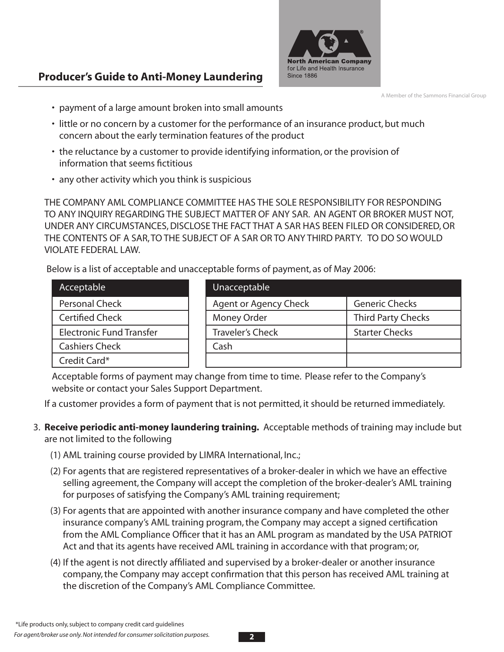

# **Producer's Guide to Anti-Money Laundering**

A Member of the Sammons Financial Group

- payment of a large amount broken into small amounts
- little or no concern by a customer for the performance of an insurance product, but much concern about the early termination features of the product
- the reluctance by a customer to provide identifying information, or the provision of information that seems fictitious
- any other activity which you think is suspicious

THE COMPANY AML COMPLIANCE COMMITTEE HAS THE SOLE RESPONSIBILITY FOR RESPONDING TO ANY INQUIRY REGARDING THE SUBJECT MATTER OF ANY SAR. AN AGENT OR BROKER MUST NOT, UNDER ANY CIRCUMSTANCES, DISCLOSE THE FACT THAT A SAR HAS BEEN FILED OR CONSIDERED, OR THE CONTENTS OF A SAR, TO THE SUBJECT OF A SAR OR TO ANY THIRD PARTY. TO DO SO WOULD VIOLATE FEDERAL LAW.

Below is a list of acceptable and unacceptable forms of payment, as of May 2006:

| Acceptable                      | Unacceptable            |                           |
|---------------------------------|-------------------------|---------------------------|
| Personal Check                  | Agent or Agency Check   | <b>Generic Checks</b>     |
| <b>Certified Check</b>          | Money Order             | <b>Third Party Checks</b> |
| <b>Electronic Fund Transfer</b> | <b>Traveler's Check</b> | <b>Starter Checks</b>     |
| <b>Cashiers Check</b>           | Cash                    |                           |
| Credit Card*                    |                         |                           |

Acceptable forms of payment may change from time to time. Please refer to the Company's website or contact your Sales Support Department.

If a customer provides a form of payment that is not permitted, it should be returned immediately.

- 3. **Receive periodic anti-money laundering training.** Acceptable methods of training may include but are not limited to the following
	- (1) AML training course provided by LIMRA International, Inc.;
	- (2) For agents that are registered representatives of a broker-dealer in which we have an effective selling agreement, the Company will accept the completion of the broker-dealer's AML training for purposes of satisfying the Company's AML training requirement;
	- (3) For agents that are appointed with another insurance company and have completed the other insurance company's AML training program, the Company may accept a signed certification from the AML Compliance Officer that it has an AML program as mandated by the USA PATRIOT Act and that its agents have received AML training in accordance with that program; or,
	- (4) If the agent is not directly affiliated and supervised by a broker-dealer or another insurance company, the Company may accept confirmation that this person has received AML training at the discretion of the Company's AML Compliance Committee.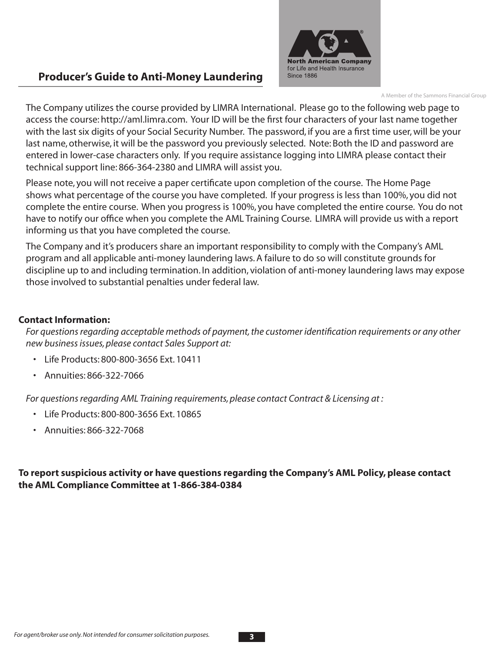

## **Producer's Guide to Anti-Money Laundering**

A Member of the Sammons Financial Group

The Company utilizes the course provided by LIMRA International. Please go to the following web page to access the course: http://aml.limra.com. Your ID will be the first four characters of your last name together with the last six digits of your Social Security Number. The password, if you are a first time user, will be your last name, otherwise, it will be the password you previously selected. Note: Both the ID and password are entered in lower-case characters only. If you require assistance logging into LIMRA please contact their technical support line: 866-364-2380 and LIMRA will assist you.

Please note, you will not receive a paper certificate upon completion of the course. The Home Page shows what percentage of the course you have completed. If your progress is less than 100%, you did not complete the entire course. When you progress is 100%, you have completed the entire course. You do not have to notify our office when you complete the AML Training Course. LIMRA will provide us with a report informing us that you have completed the course.

The Company and it's producers share an important responsibility to comply with the Company's AML program and all applicable anti-money laundering laws. A failure to do so will constitute grounds for discipline up to and including termination. In addition, violation of anti-money laundering laws may expose those involved to substantial penalties under federal law.

## **Contact Information:**

*For questions regarding acceptable methods of payment, the customer identification requirements or any other new business issues, please contact Sales Support at:*

- Life Products: 800-800-3656 Ext. 10411
- Annuities: 866-322-7066

*For questions regarding AML Training requirements, please contact Contract & Licensing at :*

- Life Products: 800-800-3656 Ext. 10865
- Annuities: 866-322-7068

## **To report suspicious activity or have questions regarding the Company's AML Policy, please contact the AML Compliance Committee at 1-866-384-0384**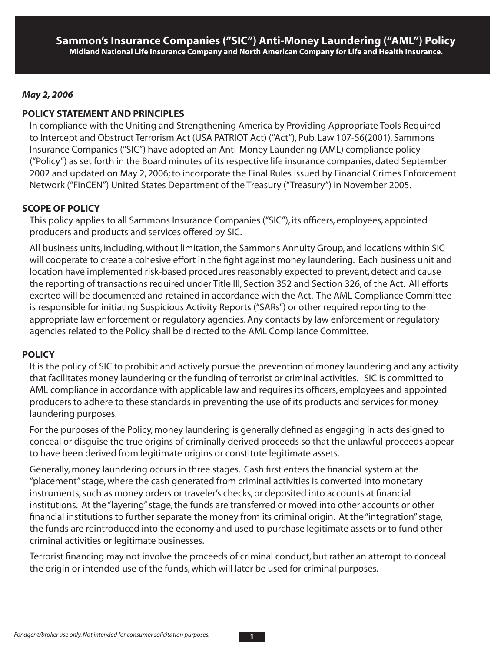#### *May 2, 2006*

## **POLICY STATEMENT AND PRINCIPLES**

In compliance with the Uniting and Strengthening America by Providing Appropriate Tools Required to Intercept and Obstruct Terrorism Act (USA PATRIOT Act) ("Act"), Pub. Law 107-56(2001), Sammons Insurance Companies ("SIC") have adopted an Anti-Money Laundering (AML) compliance policy ("Policy") as set forth in the Board minutes of its respective life insurance companies, dated September 2002 and updated on May 2, 2006; to incorporate the Final Rules issued by Financial Crimes Enforcement Network ("FinCEN") United States Department of the Treasury ("Treasury") in November 2005.

## **SCOPE OF POLICY**

This policy applies to all Sammons Insurance Companies ("SIC"), its officers, employees, appointed producers and products and services offered by SIC.

All business units, including, without limitation, the Sammons Annuity Group, and locations within SIC will cooperate to create a cohesive effort in the fight against money laundering. Each business unit and location have implemented risk-based procedures reasonably expected to prevent, detect and cause the reporting of transactions required under Title III, Section 352 and Section 326, of the Act. All efforts exerted will be documented and retained in accordance with the Act. The AML Compliance Committee is responsible for initiating Suspicious Activity Reports ("SARs") or other required reporting to the appropriate law enforcement or regulatory agencies. Any contacts by law enforcement or regulatory agencies related to the Policy shall be directed to the AML Compliance Committee.

#### **POLICY**

It is the policy of SIC to prohibit and actively pursue the prevention of money laundering and any activity that facilitates money laundering or the funding of terrorist or criminal activities. SIC is committed to AML compliance in accordance with applicable law and requires its officers, employees and appointed producers to adhere to these standards in preventing the use of its products and services for money laundering purposes.

For the purposes of the Policy, money laundering is generally defined as engaging in acts designed to conceal or disguise the true origins of criminally derived proceeds so that the unlawful proceeds appear to have been derived from legitimate origins or constitute legitimate assets.

Generally, money laundering occurs in three stages. Cash first enters the financial system at the "placement" stage, where the cash generated from criminal activities is converted into monetary instruments, such as money orders or traveler's checks, or deposited into accounts at financial institutions. At the "layering" stage, the funds are transferred or moved into other accounts or other financial institutions to further separate the money from its criminal origin. At the "integration" stage, the funds are reintroduced into the economy and used to purchase legitimate assets or to fund other criminal activities or legitimate businesses.

Terrorist financing may not involve the proceeds of criminal conduct, but rather an attempt to conceal the origin or intended use of the funds, which will later be used for criminal purposes.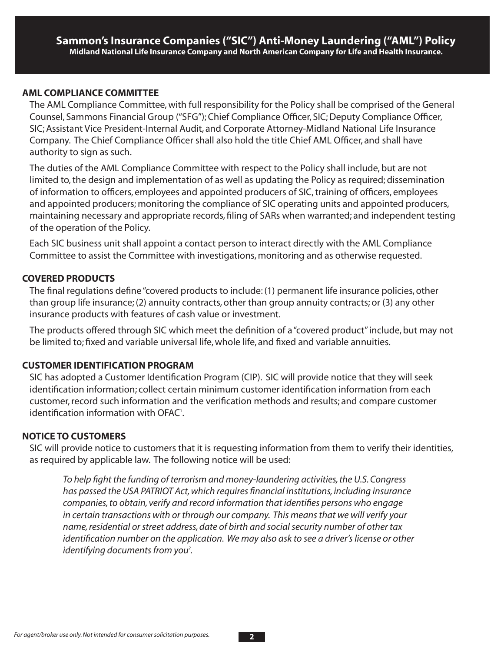## **AML COMPLIANCE COMMITTEE**

The AML Compliance Committee, with full responsibility for the Policy shall be comprised of the General Counsel, Sammons Financial Group ("SFG"); Chief Compliance Officer, SIC;Deputy Compliance Officer, SIC;Assistant Vice President-Internal Audit, and Corporate Attorney-Midland National Life Insurance Company. The Chief Compliance Officer shall also hold the title Chief AML Officer, and shall have authority to sign as such.

The duties of the AML Compliance Committee with respect to the Policy shall include, but are not limited to, the design and implementation of as well as updating the Policy as required; dissemination of information to officers, employees and appointed producers of SIC, training of officers, employees and appointed producers; monitoring the compliance of SIC operating units and appointed producers, maintaining necessary and appropriate records, filing of SARs when warranted; and independent testing of the operation of the Policy.

Each SIC business unit shall appoint a contact person to interact directly with the AML Compliance Committee to assist the Committee with investigations, monitoring and as otherwise requested.

#### **COVERED PRODUCTS**

The final regulations define "covered products to include: (1) permanent life insurance policies, other than group life insurance; (2) annuity contracts, other than group annuity contracts; or (3) any other insurance products with features of cash value or investment.

The products offered through SIC which meet the definition of a "covered product" include, but may not be limited to; fixed and variable universal life, whole life, and fixed and variable annuities.

#### **CUSTOMER IDENTIFICATION PROGRAM**

SIC has adopted a Customer Identification Program (CIP). SIC will provide notice that they will seek identification information; collect certain minimum customer identification information from each customer, record such information and the verification methods and results; and compare customer identification information with OFAC<sup>1</sup>.

#### **NOTICE TO CUSTOMERS**

SIC will provide notice to customers that it is requesting information from them to verify their identities, as required by applicable law. The following notice will be used:

*To help fight the funding of terrorism and money-laundering activities, the U.S. Congress has passed the USA PATRIOT Act, which requires financial institutions, including insurance companies, to obtain, verify and record information that identifies persons who engage in certain transactions with or through our company. This means that we will verify your name, residential or street address, date of birth and social security number of other tax identification number on the application. We may also ask to see a driver's license or other identifying documents from you2 .*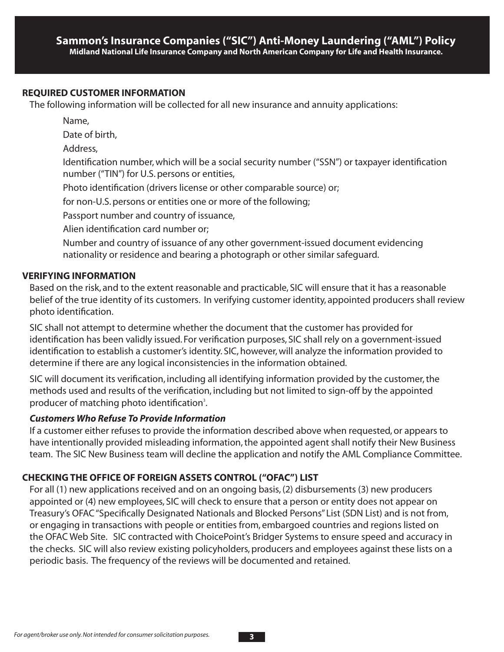## **REQUIRED CUSTOMER INFORMATION**

The following information will be collected for all new insurance and annuity applications:

Name,

Date of birth,

Address,

Identification number, which will be a social security number ("SSN") or taxpayer identification number ("TIN") for U.S. persons or entities,

Photo identification (drivers license or other comparable source) or;

for non-U.S. persons or entities one or more of the following;

Passport number and country of issuance,

Alien identification card number or;

Number and country of issuance of any other government-issued document evidencing nationality or residence and bearing a photograph or other similar safeguard.

#### **VERIFYING INFORMATION**

Based on the risk, and to the extent reasonable and practicable, SIC will ensure that it has a reasonable belief of the true identity of its customers. In verifying customer identity, appointed producers shall review photo identification.

SIC shall not attempt to determine whether the document that the customer has provided for identification has been validly issued. For verification purposes, SIC shall rely on a government-issued identification to establish a customer's identity. SIC, however, will analyze the information provided to determine if there are any logical inconsistencies in the information obtained.

SIC will document its verification, including all identifying information provided by the customer, the methods used and results of the verification, including but not limited to sign-off by the appointed producer of matching photo identification<sup>3</sup>.

#### *Customers Who Refuse To Provide Information*

If a customer either refuses to provide the information described above when requested, or appears to have intentionally provided misleading information, the appointed agent shall notify their New Business team. The SIC New Business team will decline the application and notify the AML Compliance Committee.

## **CHECKING THE OFFICE OF FOREIGN ASSETS CONTROL ("OFAC") LIST**

For all (1) new applications received and on an ongoing basis, (2) disbursements (3) new producers appointed or (4) new employees, SIC will check to ensure that a person or entity does not appear on Treasury's OFAC "Specifically Designated Nationals and Blocked Persons" List (SDN List) and is not from, or engaging in transactions with people or entities from, embargoed countries and regions listed on the OFAC Web Site. SIC contracted with ChoicePoint's Bridger Systems to ensure speed and accuracy in the checks. SIC will also review existing policyholders, producers and employees against these lists on a periodic basis. The frequency of the reviews will be documented and retained.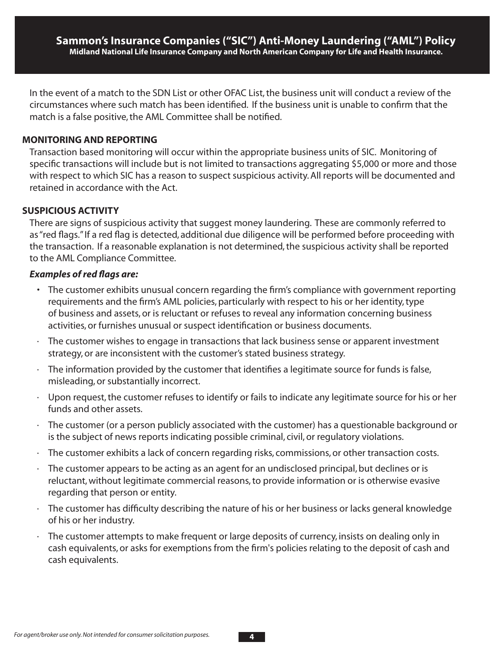In the event of a match to the SDN List or other OFAC List, the business unit will conduct a review of the circumstances where such match has been identified. If the business unit is unable to confirm that the match is a false positive, the AML Committee shall be notified.

## **MONITORING AND REPORTING**

Transaction based monitoring will occur within the appropriate business units of SIC. Monitoring of specific transactions will include but is not limited to transactions aggregating \$5,000 or more and those with respect to which SIC has a reason to suspect suspicious activity. All reports will be documented and retained in accordance with the Act.

## **SUSPICIOUS ACTIVITY**

There are signs of suspicious activity that suggest money laundering. These are commonly referred to as "red flags." If a red flag is detected, additional due diligence will be performed before proceeding with the transaction. If a reasonable explanation is not determined, the suspicious activity shall be reported to the AML Compliance Committee.

## *Examples of red flags are:*

- The customer exhibits unusual concern regarding the firm's compliance with government reporting requirements and the firm's AML policies, particularly with respect to his or her identity, type of business and assets, or is reluctant or refuses to reveal any information concerning business activities, or furnishes unusual or suspect identification or business documents.
- $\cdot$  The customer wishes to engage in transactions that lack business sense or apparent investment strategy, or are inconsistent with the customer's stated business strategy.
- $\cdot$  The information provided by the customer that identifies a legitimate source for funds is false, misleading, or substantially incorrect.
- · Upon request, the customer refuses to identify or fails to indicate any legitimate source for his or her funds and other assets.
- $\cdot$  The customer (or a person publicly associated with the customer) has a questionable background or is the subject of news reports indicating possible criminal, civil, or regulatory violations.
- · The customer exhibits a lack of concern regarding risks, commissions, or other transaction costs.
- $\cdot$  The customer appears to be acting as an agent for an undisclosed principal, but declines or is reluctant, without legitimate commercial reasons, to provide information or is otherwise evasive regarding that person or entity.
- · The customer has difficulty describing the nature of his or her business or lacks general knowledge of his or her industry.
- $\cdot$  The customer attempts to make frequent or large deposits of currency, insists on dealing only in cash equivalents, or asks for exemptions from the firm's policies relating to the deposit of cash and cash equivalents.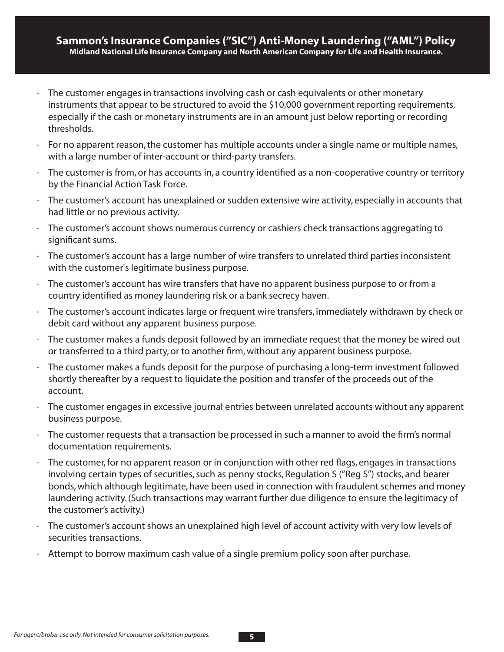- $\cdot$  The customer engages in transactions involving cash or cash equivalents or other monetary instruments that appear to be structured to avoid the \$10,000 government reporting requirements, especially if the cash or monetary instruments are in an amount just below reporting or recording thresholds.
- $\cdot$  For no apparent reason, the customer has multiple accounts under a single name or multiple names, with a large number of inter-account or third-party transfers.
- · The customer is from, or has accounts in, a country identified as a non-cooperative country or territory by the Financial Action Task Force.
- $\cdot$  The customer's account has unexplained or sudden extensive wire activity, especially in accounts that had little or no previous activity.
- $\cdot$  The customer's account shows numerous currency or cashiers check transactions aggregating to significant sums.
- · The customer's account has a large number of wire transfers to unrelated third parties inconsistent with the customer's legitimate business purpose.
- $\cdot$  The customer's account has wire transfers that have no apparent business purpose to or from a country identified as money laundering risk or a bank secrecy haven.
- · The customer's account indicates large or frequent wire transfers, immediately withdrawn by check or debit card without any apparent business purpose.
- · The customer makes a funds deposit followed by an immediate request that the money be wired out or transferred to a third party, or to another firm, without any apparent business purpose.
- $\cdot$  The customer makes a funds deposit for the purpose of purchasing a long-term investment followed shortly thereafter by a request to liquidate the position and transfer of the proceeds out of the account.
- · The customer engages in excessive journal entries between unrelated accounts without any apparent business purpose.
- The customer requests that a transaction be processed in such a manner to avoid the firm's normal documentation requirements.
- $\cdot$  The customer, for no apparent reason or in conjunction with other red flags, engages in transactions involving certain types of securities, such as penny stocks, Regulation S ("Reg S") stocks, and bearer bonds, which although legitimate, have been used in connection with fraudulent schemes and money laundering activity. (Such transactions may warrant further due diligence to ensure the legitimacy of the customer's activity.)
- $\cdot$  The customer's account shows an unexplained high level of account activity with very low levels of securities transactions.
- · Attempt to borrow maximum cash value of a single premium policy soon after purchase.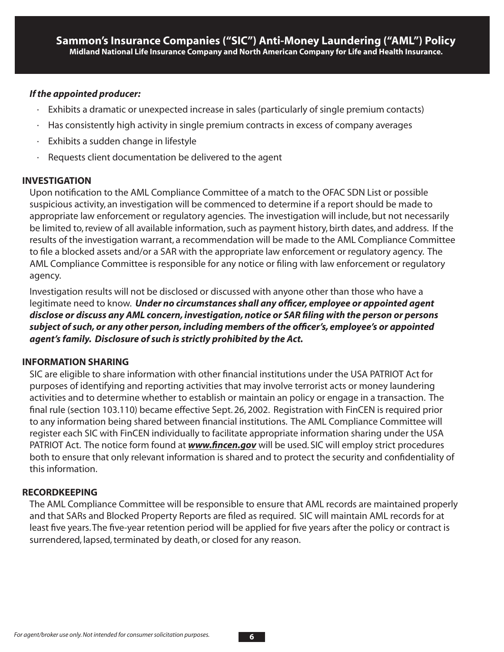## *If the appointed producer:*

- · Exhibits a dramatic or unexpected increase in sales (particularly of single premium contacts)
- $\cdot$  Has consistently high activity in single premium contracts in excess of company averages
- · Exhibits a sudden change in lifestyle
- · Requests client documentation be delivered to the agent

## **INVESTIGATION**

Upon notification to the AML Compliance Committee of a match to the OFAC SDN List or possible suspicious activity, an investigation will be commenced to determine if a report should be made to appropriate law enforcement or regulatory agencies. The investigation will include, but not necessarily be limited to, review of all available information, such as payment history, birth dates, and address. If the results of the investigation warrant, a recommendation will be made to the AML Compliance Committee to file a blocked assets and/or a SAR with the appropriate law enforcement or regulatory agency. The AML Compliance Committee is responsible for any notice or filing with law enforcement or regulatory agency.

Investigation results will not be disclosed or discussed with anyone other than those who have a legitimate need to know. *Under no circumstances shall any officer, employee or appointed agent disclose or discuss any AML concern, investigation, notice or SAR filing with the person or persons subject of such, or any other person, including members of the officer's, employee's or appointed agent's family. Disclosure of such is strictly prohibited by the Act.* 

#### **INFORMATION SHARING**

SIC are eligible to share information with other financial institutions under the USA PATRIOT Act for purposes of identifying and reporting activities that may involve terrorist acts or money laundering activities and to determine whether to establish or maintain an policy or engage in a transaction. The final rule (section 103.110) became effective Sept. 26, 2002. Registration with FinCEN is required prior to any information being shared between financial institutions. The AML Compliance Committee will register each SIC with FinCEN individually to facilitate appropriate information sharing under the USA PATRIOT Act. The notice form found at *www.fincen.gov* will be used. SIC will employ strict procedures both to ensure that only relevant information is shared and to protect the security and confidentiality of this information.

## **RECORDKEEPING**

The AML Compliance Committee will be responsible to ensure that AML records are maintained properly and that SARs and Blocked Property Reports are filed as required. SIC will maintain AML records for at least five years. The five-year retention period will be applied for five years after the policy or contract is surrendered, lapsed, terminated by death, or closed for any reason.